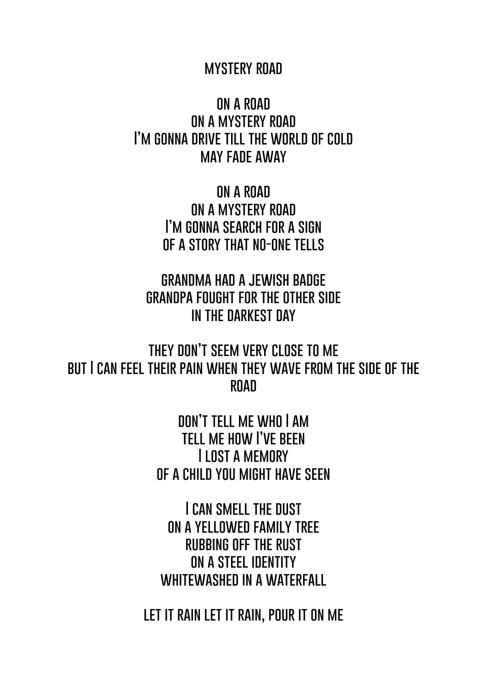## **mystery road**

**on a road on a mystery road I'm gonna drive till the world of cold may fade away**

> **on a road on a mystery road I'm gonna search for a sign of a story that no-one tells**

**grandma had a jewish badge grandpa fought for the other side in the darkest day**

**they don't seem very close to me but I can feel their pain when they wave from the side of the road**

> **don't tell me who I am tell me how I've been I lost a memory of a child you might have seen**

**I can smell the dust on a yellowed family tree rubbing off the rust on a steel identity whitewashed in a waterfall**

**let it rain let it rain, pour it on me**